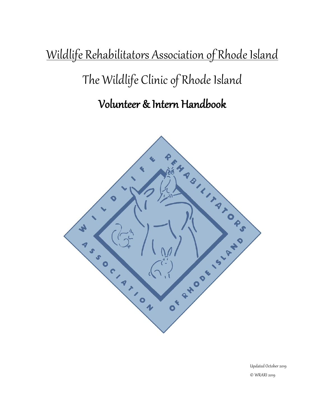Wildlife Rehabilitators Association of Rhode Island The Wildlife Clinic of Rhode Island Volunteer & Intern Handbook



Updated October 2019 © WRARI 2019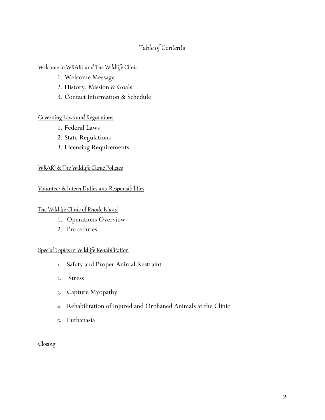# Table of Contents

# Welcome to WRARI and The Wildlife Clinic

- 1. Welcome Message
- 2. History, Mission & Goals
- 3. Contact Information & Schedule

# Governing Lawsand Regulations

- 1. Federal Laws
- 2. State Regulations
- 3. Licensing Requirements

# WRARI & The Wildlife Clinic Policies

# Volunteer & Intern Duties and Responsibilities

# The Wildlife Clinic of Rhode Island

- 1. Operations Overview
- 2. Procedures

# Special Topics in Wildlife Rehabilitation

- 1. Safety and Proper Animal Restraint
- 2. Stress
- 3. Capture Myopathy
- 4. Rehabilitation of Injured and Orphaned Animals at the Clinic
- 5. Euthanasia

# Closing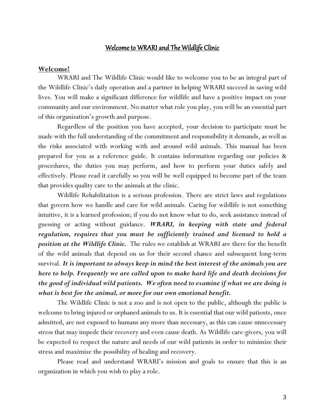# Welcome to WRARI and The Wildlife Clinic

## **Welcome!**

WRARI and The Wildlife Clinic would like to welcome you to be an integral part of the Wildlife Clinic's daily operation and a partner in helping WRARI succeed in saving wild lives. You will make a significant difference for wildlife and have a positive impact on your community and our environment. No matter what role you play, you will be an essential part of this organization's growth and purpose.

Regardless of the position you have accepted, your decision to participate must be made with the full understanding of the commitment and responsibility it demands, as well as the risks associated with working with and around wild animals. This manual has been prepared for you as a reference guide. It contains information regarding our policies & procedures, the duties you may perform, and how to perform your duties safely and effectively. Please read it carefully so you will be well equipped to become part of the team that provides quality care to the animals at the clinic.

Wildlife Rehabilitation is a serious profession. There are strict laws and regulations that govern how we handle and care for wild animals. Caring for wildlife is not something intuitive, it is a learned profession; if you do not know what to do, seek assistance instead of guessing or acting without guidance. *WRARI, in keeping with state and federal regulation, requires that you must be sufficiently trained and licensed to hold a position at the Wildlife Clinic.* The rules we establish at WRARI are there for the benefit of the wild animals that depend on us for their second chance and subsequent long-term survival. *It is important to always keep in mind the best interest of the animals you are here to help. Frequently we are called upon to make hard life and death decisions for the good of individual wild patients. We often need to examine if what we are doing is what is best for the animal, or more for our own emotional benefit.*

The Wildlife Clinic is not a zoo and is not open to the public, although the public is welcome to bring injured or orphaned animals to us. It is essential that our wild patients, once admitted, are not exposed to humans any more than necessary, as this can cause unnecessary stress that may impede their recovery and even cause death. As Wildlife care-givers, you will be expected to respect the nature and needs of our wild patients in order to minimize their stress and maximize the possibility of healing and recovery.

Please read and understand WRARI's mission and goals to ensure that this is an organization in which you wish to play a role.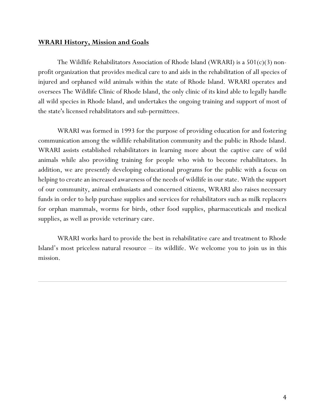# **WRARI History, Mission and Goals**

The Wildlife Rehabilitators Association of Rhode Island (WRARI) is a 501(c)(3) nonprofit organization that provides medical care to and aids in the rehabilitation of all species of injured and orphaned wild animals within the state of Rhode Island. WRARI operates and oversees The Wildlife Clinic of Rhode Island, the only clinic of its kind able to legally handle all wild species in Rhode Island, and undertakes the ongoing training and support of most of the state's licensed rehabilitators and sub-permittees.

WRARI was formed in 1993 for the purpose of providing education for and fostering communication among the wildlife rehabilitation community and the public in Rhode Island. WRARI assists established rehabilitators in learning more about the captive care of wild animals while also providing training for people who wish to become rehabilitators. In addition, we are presently developing educational programs for the public with a focus on helping to create an increased awareness of the needs of wildlife in our state. With the support of our community, animal enthusiasts and concerned citizens, WRARI also raises necessary funds in order to help purchase supplies and services for rehabilitators such as milk replacers for orphan mammals, worms for birds, other food supplies, pharmaceuticals and medical supplies, as well as provide veterinary care.

WRARI works hard to provide the best in rehabilitative care and treatment to Rhode Island's most priceless natural resource – its wildlife. We welcome you to join us in this mission.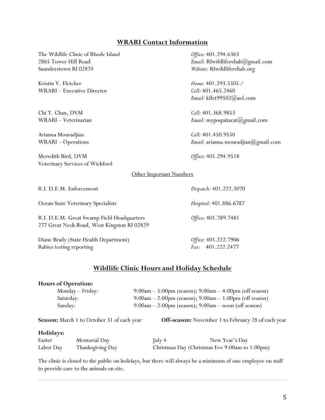# **WRARI Contact Information**

The Wildlife Clinic of Rhode Island *Office:* 401.294.6363 2865 Tower Hill Road *Email*: RIwildliferehab@gmail.com Saunderstown RI 02874 *Website:* RIwildliferehab.org

Kristin V. Fletcher *Home:* 401.293.5505 / WRARI – Executive Director *Cell:* 401.465.2460

Chi Y. Chan, DVM *Cell:* 401.368.9853

Arianna Mouradjian *Cell:* 401.450.9550

Meredith Bird, DVM *Office*: 401.294.9518 Veterinary Services of Wickford

*Email:* kflet99502@aol.com

WRARI – Veterinarian *Email:* mypoquitacat@gmail.com

WRARI – Operations *Email:* arianna.mouradjian@gmail.com

## Other Important Numbers

| R.I. D.E.M. Enforcement                                                                   | Dispatch: 401.222.3070 |
|-------------------------------------------------------------------------------------------|------------------------|
| Ocean State Veterinary Specialists                                                        | Hospital: 401.886.6787 |
| R.I. D.E.M. Great Swamp Field Headquarters<br>277 Great Neck Road, West Kingston RI 02829 | Office: 401.789.7481   |
| Diane Brady (State Health Department)                                                     | Office: 401.222.7906   |

Rabies testing reporting *Fax*: 401.222.2477

# **Wildlife Clinic Hours and Holiday Schedule**

# **Hours of Operation:** Monday – Friday: 9:00am – 5:00pm (season); 9:00am – 4:00pm (off season)

# Saturday: 9:00am – 2:00pm (season); 9:00am – 1:00pm (off season) Sunday: 9:00am – 2:00pm (season); 9:00am – noon (off season)

**Season:** March 1 to October 31 of each year **Off-season:** November 1 to February 28 of each year

### **Holidays:**

| Easter    | Memorial Day     | July 4 | New Year's Day                                 |
|-----------|------------------|--------|------------------------------------------------|
| Labor Day | Thanksgiving Day |        | Christmas Day (Christmas Eve 9:00am to 1:00pm) |

The clinic is closed to the public on holidays, but there will always be a minimum of one employee on staff to provide care to the animals on site.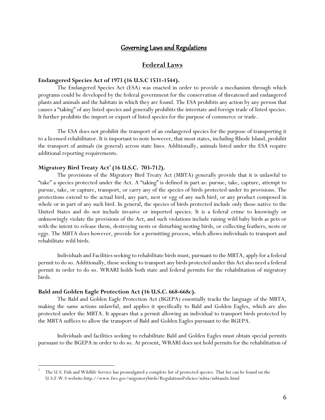# Governing Laws and Regulations

# **Federal Laws**

## **Endangered Species Act of 1973 (16 U.S.C 1531-1544).**

The Endangered Species Act (ESA) was enacted in order to provide a mechanism through which programs could be developed by the federal government for the conservation of threatened and endangered plants and animals and the habitats in which they are found. The ESA prohibits any action by any person that causes a "taking" of any listed species and generally prohibits the interstate and foreign trade of listed species. It further prohibits the import or export of listed species for the purpose of commerce or trade.

The ESA does not prohibit the transport of an endangered species for the purpose of transporting it to a licensed rehabilitator. It is important to note however, that most states, including Rhode Island, prohibit the transport of animals (in general) across state lines. Additionally, animals listed under the ESA require additional reporting requirements.

### Migratory Bird Treaty Act<sup>1</sup> (16 U.S.C. 703-712).

The provisions of the Migratory Bird Treaty Act (MBTA) generally provide that it is unlawful to "take" a species protected under the Act. A "taking" is defined in part as: pursue, take, capture, attempt to pursue, take, or capture, transport, or carry any of the species of birds protected under its provisions. The protections extend to the actual bird, any part, nest or egg of any such bird, or any product composed in whole or in part of any such bird. In general, the species of birds protected include only those native to the United States and do not include invasive or imported species. It is a federal crime to knowingly or unknowingly violate the provisions of the Act, and such violations include raising wild baby birds as pets or with the intent to release them, destroying nests or disturbing nesting birds, or collecting feathers, nests or eggs. The MBTA does however, provide for a permitting process, which allows individuals to transport and rehabilitate wild birds.

Individuals and Facilities seeking to rehabilitate birds must, pursuant to the MBTA, apply for a federal permit to do so. Additionally, those seeking to transport any birds protected under this Act also need a federal permit in order to do so. WRARI holds both state and federal permits for the rehabilitation of migratory birds.

### **Bald and Golden Eagle Protection Act (16 U.S.C. 668-668c).**

 

The Bald and Golden Eagle Protection Act (BGEPA) essentially tracks the language of the MBTA, making the same actions unlawful, and applies it specifically to Bald and Golden Eagles, which are also protected under the MBTA. It appears that a permit allowing an individual to transport birds protected by the MBTA suffices to allow the transport of Bald and Golden Eagles pursuant to the BGEPA.

Individuals and facilities seeking to rehabilitate Bald and Golden Eagles must obtain special permits pursuant to the BGEPA in order to do so. At present, WRARI does not hold permits for the rehabilitation of

<sup>1</sup> The U.S. Fish and Wildlife Service has promulgated a complete list of protected species. That list can be found on the U.S.F.W.S website:http://www.fws.gov/migratorybirds/RegulationsPolicies/mbta/mbtandx.html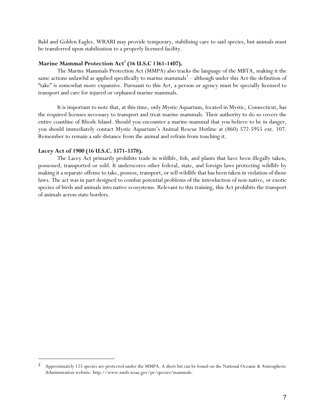Bald and Golden Eagles. WRARI may provide temporary, stabilizing care to said species, but animals must be transferred upon stabilization to a properly licensed facility.

#### Marine Mammal Protection Act<sup>2</sup> (16 U.S.C 1361-1407).

The Marine Mammals Protection Act (MMPA) also tracks the language of the MBTA, making it the same actions unlawful as applied specifically to marine mammals<sup>3</sup> – although under this Act the definition of "take" is somewhat more expansive. Pursuant to this Act, a person or agency must be specially licensed to transport and care for injured or orphaned marine mammals.

It is important to note that, at this time, only Mystic Aquarium, located in Mystic, Connecticut, has the required licenses necessary to transport and treat marine mammals. Their authority to do so covers the entire coastline of Rhode Island. Should you encounter a marine mammal that you believe to be in danger, you should immediately contact Mystic Aquarium's Animal Rescue Hotline at (860) 572-5955 ext. 107. Remember to remain a safe distance from the animal and refrain from touching it.

#### **Lacey Act of 1900 (16 U.S.C. 3371-3378).**

 

The Lacey Act primarily prohibits trade in wildlife, fish, and plants that have been illegally taken, possessed, transported or sold. It underscores other federal, state, and foreign laws protecting wildlife by making it a separate offense to take, possess, transport, or sell wildlife that has been taken in violation of those laws. The act was in part designed to combat potential problems of the introduction of non-native, or exotic species of birds and animals into native ecosystems. Relevant to this training, this Act prohibits the transport of animals across state borders.

<sup>&</sup>lt;sup>2</sup> Approximately 125 species are protected under the MMPA. A short list can be found on the National Oceanic & Atmospheric Administration website: http://www.nmfs.noaa.gov/pr/species/mammals.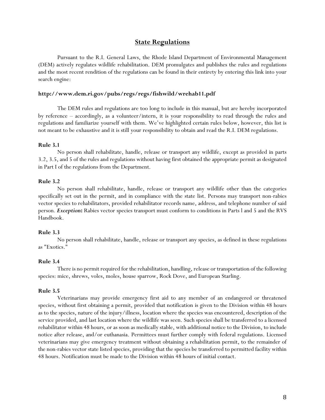## **State Regulations**

Pursuant to the R.I. General Laws, the Rhode Island Department of Environmental Management (DEM) actively regulates wildlife rehabilitation. DEM promulgates and publishes the rules and regulations and the most recent rendition of the regulations can be found in their entirety by entering this link into your search engine:

#### **http://www.dem.ri.gov/pubs/regs/regs/fishwild/wrehab11.pdf**

The DEM rules and regulations are too long to include in this manual, but are hereby incorporated by reference – accordingly, as a volunteer/intern, it is your responsibility to read through the rules and regulations and familiarize yourself with them. We've highlighted certain rules below, however, this list is not meant to be exhaustive and it is still your responsibility to obtain and read the R.I. DEM regulations.

#### **Rule 3.1**

No person shall rehabilitate, handle, release or transport any wildlife, except as provided in parts 3.2, 3.5, and 5 of the rules and regulations without having first obtained the appropriate permit as designated in Part I of the regulations from the Department.

#### **Rule 3.2**

No person shall rehabilitate, handle, release or transport any wildlife other than the categories specifically set out in the permit, and in compliance with the state list. Persons may transport non-rabies vector species to rehabilitators, provided rehabilitator records name, address, and telephone number of said person*. Exception***:** Rabies vector species transport must conform to conditions in Parts l and 5 and the RVS Handbook.

#### **Rule 3.3**

No person shall rehabilitate, handle, release or transport any species, as defined in these regulations as "Exotics."

#### **Rule 3.4**

There is no permit required for the rehabilitation, handling, release or transportation of the following species: mice, shrews, voles, moles, house sparrow, Rock Dove, and European Starling.

#### **Rule 3.5**

Veterinarians may provide emergency first aid to any member of an endangered or threatened species, without first obtaining a permit, provided that notification is given to the Division within 48 hours as to the species, nature of the injury/illness, location where the species was encountered, description of the service provided, and last location where the wildlife was seen. Such species shall be transferred to a licensed rehabilitator within 48 hours, or as soon as medically stable, with additional notice to the Division, to include notice after release, and/or euthanasia. Permittees must further comply with federal regulations. Licensed veterinarians may give emergency treatment without obtaining a rehabilitation permit, to the remainder of the non-rabies vector state listed species, providing that the species be transferred to permitted facility within 48 hours. Notification must be made to the Division within 48 hours of initial contact.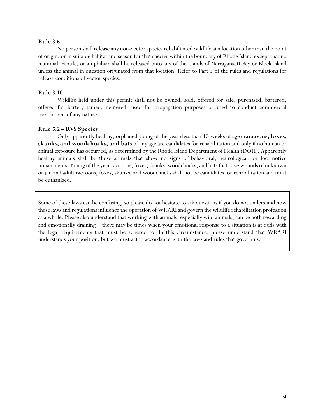#### **Rule 3.6**

No person shall release any non-vector species rehabilitated wildlife at a location other than the point of origin, or in suitable habitat and season for that species within the boundary of Rhode Island except that no mammal, reptile, or amphibian shall be released onto any of the islands of Narragansett Bay or Block Island unless the animal in question originated from that location. Refer to Part 5 of the rules and regulations for release conditions of vector species.

### **Rule 3.10**

Wildlife held under this permit shall not be owned, sold, offered for sale, purchased, bartered, offered for barter, tamed, neutered, used for propagation purposes or used to conduct commercial transactions of any nature.

#### **Rule 5.2 – RVS Species**

Only apparently healthy, orphaned young of the year (less than 10-weeks of age) **raccoons, foxes, skunks, and woodchucks, and bats** of any age are candidates for rehabilitation and only if no human or animal exposure has occurred, as determined by the Rhode Island Department of Health (DOH). Apparently healthy animals shall be those animals that show no signs of behavioral, neurological, or locomotive impairments. Young of the year raccoons, foxes, skunks, woodchucks, and bats that have wounds of unknown origin and adult raccoons, foxes, skunks, and woodchucks shall not be candidates for rehabilitation and must be euthanized.

Some of these laws can be confusing, so please do not hesitate to ask questions if you do not understand how these laws and regulations influence the operation of WRARI and govern the wildlife rehabilitation profession as a whole. Please also understand that working with animals, especially wild animals, can be both rewarding and emotionally draining – there may be times when your emotional response to a situation is at odds with the legal requirements that must be adhered to. In this circumstance, please understand that WRARI understands your position, but we must act in accordance with the laws and rules that govern us.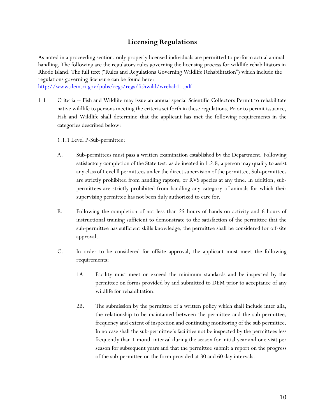# **Licensing Regulations**

As noted in a proceeding section, only properly licensed individuals are permitted to perform actual animal handling. The following are the regulatory rules governing the licensing process for wildlife rehabilitators in Rhode Island. The full text ("Rules and Regulations Governing Wildlife Rehabilitation") which include the regulations governing licensure can be found here:

http://www.dem.ri.gov/pubs/regs/regs/fishwild/wrehab11.pdf

1.1 Criteria -- Fish and Wildlife may issue an annual special Scientific Collectors Permit to rehabilitate native wildlife to persons meeting the criteria set forth in these regulations. Prior to permit issuance, Fish and Wildlife shall determine that the applicant has met the following requirements in the categories described below:

1.1.1 Level P-Sub-permittee:

- A. Sub-permittees must pass a written examination established by the Department. Following satisfactory completion of the State test, as delineated in 1.2.8, a person may qualify to assist any class of Level ll permittees under the direct supervision of the permittee. Sub-permittees are strictly prohibited from handling raptors, or RVS species at any time. In addition, subpermittees are strictly prohibited from handling any category of animals for which their supervising permittee has not been duly authorized to care for.
- B. Following the completion of not less than 25 hours of hands on activity and 6 hours of instructional training sufficient to demonstrate to the satisfaction of the permittee that the sub-permittee has sufficient skills knowledge, the permittee shall be considered for off-site approval.
- C. In order to be considered for offsite approval, the applicant must meet the following requirements:
	- 1A. Facility must meet or exceed the minimum standards and be inspected by the permittee on forms provided by and submitted to DEM prior to acceptance of any wildlife for rehabilitation.
	- 2B. The submission by the permittee of a written policy which shall include inter alia, the relationship to be maintained between the permittee and the sub-permittee, frequency and extent of inspection and continuing monitoring of the sub permittee. In no case shall the sub-permittee's facilities not be inspected by the permittees less frequently than 1 month interval during the season for initial year and one visit per season for subsequent years and that the permittee submit a report on the progress of the sub-permittee on the form provided at 30 and 60 day intervals.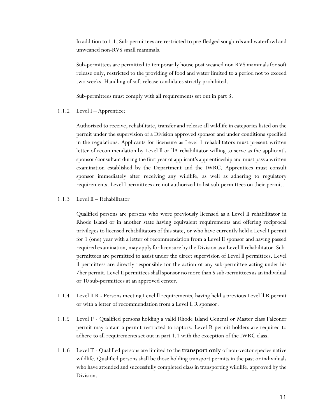In addition to 1.1, Sub-permittees are restricted to pre-fledged songbirds and waterfowl and unweaned non-RVS small mammals.

Sub-permittees are permitted to temporarily house post weaned non RVS mammals for soft release only, restricted to the providing of food and water limited to a period not to exceed two weeks. Handling of soft release candidates strictly prohibited.

Sub-permittees must comply with all requirements set out in part 3.

1.1.2 Level I – Apprentice:

Authorized to receive, rehabilitate, transfer and release all wildlife in categories listed on the permit under the supervision of a Division approved sponsor and under conditions specified in the regulations. Applicants for licensure as Level 1 rehabilitators must present written letter of recommendation by Level ll or llA rehabilitator willing to serve as the applicant's sponsor/consultant during the first year of applicant's apprenticeship and must pass a written examination established by the Department and the IWRC. Apprentices must consult sponsor immediately after receiving any wildlife, as well as adhering to regulatory requirements. Level l permittees are not authorized to list sub-permittees on their permit.

1.1.3 Level II – Rehabilitator

Qualified persons are persons who were previously licensed as a Level II rehabilitator in Rhode Island or in another state having equivalent requirements and offering reciprocal privileges to licensed rehabilitators of this state, or who have currently held a Level I permit for 1 (one) year with a letter of recommendation from a Level II sponsor and having passed required examination, may apply for licensure by the Division as a Level II rehabilitator. Subpermittees are permitted to assist under the direct supervision of Level ll permittees. Level ll permittess are directly responsible for the action of any sub-permittee acting under his /her permit. Level II permittees shall sponsor no more than 5 sub-permittees as an individual or 10 sub-permittees at an approved center.

- 1.1.4 Level II R Persons meeting Level ll requirements, having held a previous Level ll R permit or with a letter of recommendation from a Level ll R sponsor.
- 1.1.5 Level F Qualified persons holding a valid Rhode Island General or Master class Falconer permit may obtain a permit restricted to raptors. Level R permit holders are required to adhere to all requirements set out in part 1.1 with the exception of the IWRC class.
- 1.1.6 Level T Qualified persons are limited to the **transport only** of non-vector species native wildlife. Qualified persons shall be those holding transport permits in the past or individuals who have attended and successfully completed class in transporting wildlife, approved by the Division.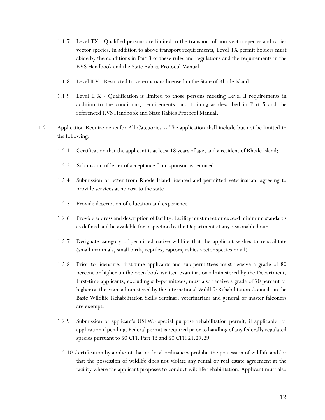- 1.1.7 Level TX Qualified persons are limited to the transport of non-vector species and rabies vector species. In addition to above transport requirements, Level TX permit holders must abide by the conditions in Part 3 of these rules and regulations and the requirements in the RVS Handbook and the State Rabies Protocol Manual.
- 1.1.8 Level II V Restricted to veterinarians licensed in the State of Rhode Island.
- 1.1.9 Level II X Qualification is limited to those persons meeting Level II requirements in addition to the conditions, requirements, and training as described in Part 5 and the referenced RVS Handbook and State Rabies Protocol Manual.
- 1.2 Application Requirements for All Categories -- The application shall include but not be limited to the following:
	- 1.2.1 Certification that the applicant is at least 18 years of age, and a resident of Rhode Island;
	- 1.2.3 Submission of letter of acceptance from sponsor as required
	- 1.2.4 Submission of letter from Rhode Island licensed and permitted veterinarian, agreeing to provide services at no cost to the state
	- 1.2.5 Provide description of education and experience
	- 1.2.6 Provide address and description of facility. Facility must meet or exceed minimum standards as defined and be available for inspection by the Department at any reasonable hour.
	- 1.2.7 Designate category of permitted native wildlife that the applicant wishes to rehabilitate (small mammals, small birds, reptiles, raptors, rabies vector species or all)
	- 1.2.8 Prior to licensure, first-time applicants and sub-permittees must receive a grade of 80 percent or higher on the open book written examination administered by the Department. First-time applicants, excluding sub-permittees, must also receive a grade of 70 percent or higher on the exam administered by the International Wildlife Rehabilitation Council's in the Basic Wildlife Rehabilitation Skills Seminar; veterinarians and general or master falconers are exempt.
	- 1.2.9 Submission of applicant's USFWS special purpose rehabilitation permit, if applicable, or application if pending. Federal permit is required prior to handling of any federally regulated species pursuant to 50 CFR Part 13 and 50 CFR 21.27.29
	- 1.2.10 Certification by applicant that no local ordinances prohibit the possession of wildlife and/or that the possession of wildlife does not violate any rental or real estate agreement at the facility where the applicant proposes to conduct wildlife rehabilitation. Applicant must also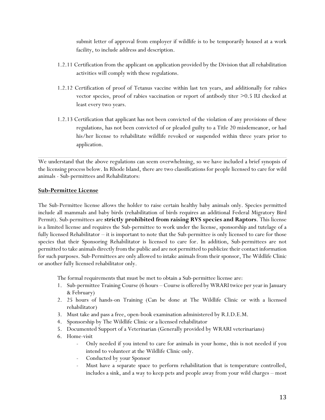submit letter of approval from employer if wildlife is to be temporarily housed at a work facility, to include address and description.

- 1.2.11 Certification from the applicant on application provided by the Division that all rehabilitation activities will comply with these regulations.
- 1.2.12 Certification of proof of Tetanus vaccine within last ten years, and additionally for rabies vector species, proof of rabies vaccination or report of antibody titer >0.5 IU checked at least every two years.
- 1.2.13 Certification that applicant has not been convicted of the violation of any provisions of these regulations, has not been convicted of or pleaded guilty to a Title 20 misdemeanor, or had his/her license to rehabilitate wildlife revoked or suspended within three years prior to application.

We understand that the above regulations can seem overwhelming, so we have included a brief synopsis of the licensing process below. In Rhode Island, there are two classifications for people licensed to care for wild animals - Sub-permittees and Rehabilitators:

## **Sub-Permittee License**

The Sub-Permittee license allows the holder to raise certain healthy baby animals only. Species permitted include all mammals and baby birds (rehabilitation of birds requires an additional Federal Migratory Bird Permit). Sub-permittees are **strictly prohibited from raising RVS species and Raptors**. This license is a limited license and requires the Sub-permittee to work under the license, sponsorship and tutelage of a fully licensed Rehabilitator – it is important to note that the Sub-permittee is only licensed to care for those species that their Sponsoring Rehabilitator is licensed to care for. In addition, Sub-permittees are not permitted to take animals directly from the public and are not permitted to publicize their contact information for such purposes. Sub-Permittees are only allowed to intake animals from their sponsor, The Wildlife Clinic or another fully licensed rehabilitator only.

The formal requirements that must be met to obtain a Sub-permittee license are:

- 1. Sub-permittee Training Course (6 hours Course is offered by WRARI twice per year in January & February)
- 2. 25 hours of hands-on Training (Can be done at The Wildlife Clinic or with a licensed rehabilitator)
- 3. Must take and pass a free, open-book examination administered by R.I.D.E.M.
- 4. Sponsorship by The Wildlife Clinic or a licensed rehabilitator
- 5. Documented Support of a Veterinarian (Generally provided by WRARI veterinarians)
- 6. Home-visit
	- Only needed if you intend to care for animals in your home, this is not needed if you intend to volunteer at the Wildlife Clinic only.
	- Conducted by your Sponsor
	- Must have a separate space to perform rehabilitation that is temperature controlled, includes a sink, and a way to keep pets and people away from your wild charges – most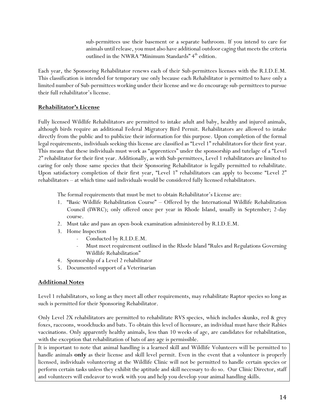sub-permittees use their basement or a separate bathroom. If you intend to care for animals until release, you must also have additional outdoor caging that meets the criteria outlined in the NWRA "Minimum Standards" 4<sup>th</sup> edition.

Each year, the Sponsoring Rehabilitator renews each of their Sub-permittees licenses with the R.I.D.E.M. This classification is intended for temporary use only because each Rehabilitator is permitted to have only a limited number of Sub-permittees working under their license and we do encourage sub-permittees to pursue their full rehabilitator's license.

# **Rehabilitator's License**

Fully licensed Wildlife Rehabilitators are permitted to intake adult and baby, healthy and injured animals, although birds require an additional Federal Migratory Bird Permit. Rehabilitators are allowed to intake directly from the public and to publicize their information for this purpose. Upon completion of the formal legal requirements, individuals seeking this license are classified as "Level 1" rehabilitators for their first year. This means that these individuals must work as "apprentices" under the sponsorship and tutelage of a "Level 2" rehabilitator for their first year. Additionally, as with Sub-permittees, Level 1 rehabilitators are limited to caring for only those same species that their Sponsoring Rehabilitator is legally permitted to rehabilitate. Upon satisfactory completion of their first year, "Level 1" rehabilitators can apply to become "Level 2" rehabilitators – at which time said individuals would be considered fully licensed rehabilitators.

The formal requirements that must be met to obtain Rehabilitator's License are:

- 1. "Basic Wildlife Rehabilitation Course" Offered by the International Wildlife Rehabilitation Council (IWRC); only offered once per year in Rhode Island, usually in September; 2-day course.
- 2. Must take and pass an open-book examination administered by R.I.D.E.M.
- 3. Home Inspection
	- Conducted by R.I.D.E.M.
	- Must meet requirement outlined in the Rhode Island "Rules and Regulations Governing Wildlife Rehabilitation"
- 4. Sponsorship of a Level 2 rehabilitator
- 5. Documented support of a Veterinarian

# **Additional Notes**

Level 1 rehabilitators, so long as they meet all other requirements, may rehabilitate Raptor species so long as such is permitted for their Sponsoring Rehabilitator.

Only Level 2X rehabilitators are permitted to rehabilitate RVS species, which includes skunks, red & grey foxes, raccoons, woodchucks and bats. To obtain this level of licensure, an individual must have their Rabies vaccinations. Only apparently healthy animals, less than 10 weeks of age, are candidates for rehabilitation, with the exception that rehabilitation of bats of any age is permissible.

It is important to note that animal handling is a learned skill and Wildlife Volunteers will be permitted to handle animals **only** as their license and skill level permit. Even in the event that a volunteer is properly licensed, individuals volunteering at the Wildlife Clinic will not be permitted to handle certain species or perform certain tasks unless they exhibit the aptitude and skill necessary to do so. Our Clinic Director, staff and volunteers will endeavor to work with you and help you develop your animal handling skills.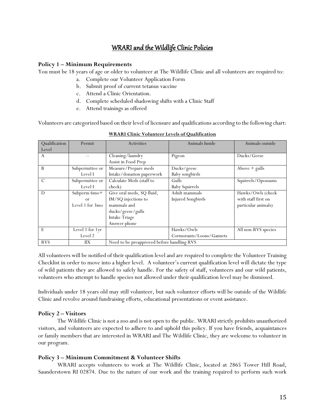# WRARI and the Wildlife Clinic Policies

## **Policy 1 – Minimum Requirements**

You must be 18 years of age or older to volunteer at The Wildlife Clinic and all volunteers are required to:

- a. Complete our Volunteer Application Form
- b. Submit proof of current tetanus vaccine
- c. Attend a Clinic Orientation.
- d. Complete scheduled shadowing shifts with a Clinic Staff
- e. Attend trainings as offered

Volunteers are categorized based on their level of licensure and qualifications according to the following chart:

| Qualification | Permit          | Activities                                 | Animals Inside           | Animals outside     |
|---------------|-----------------|--------------------------------------------|--------------------------|---------------------|
| Level         |                 |                                            |                          |                     |
| A             |                 | Cleaning/laundry                           | Pigeon                   | Ducks/Geese         |
|               |                 | Assist in Food Prep                        |                          |                     |
| B             | Subpermittee or | Measure/Prepare meds                       | Ducks/geese              | Above $+$ gulls     |
|               | Level I         | Intake/donation paperwork                  | Baby songbirds           |                     |
| $\mathcal{C}$ | Subpermittee or | Calculate Meds (staff to                   | Gulls                    | Squirrels/Opossums  |
|               | Level I         | check)                                     | <b>Baby Squirrels</b>    |                     |
| D             | Subperm 6mo+    | Give oral meds, SQ fluid,                  | Adult mammals            | Hawks/Owls (check   |
|               | or              | IM/SQ injections to                        | <b>Injured Songbirds</b> | with staff first on |
|               | Level 1 for 3mo | mammals and                                |                          | particular animals) |
|               |                 | ducks/geese/gulls                          |                          |                     |
|               |                 | <b>Intake Triage</b>                       |                          |                     |
|               |                 | Answer phone                               |                          |                     |
| E             | Level 1 for 1yr |                                            | Hawks/Owls               | All non-RVS species |
|               | Level 2         |                                            | Cormorants/Loons/Gannets |                     |
| <b>RVS</b>    | IIХ             | Need to be preapproved before handling RVS |                          |                     |

### **WRARI Clinic Volunteer Levels of Qualification**

All volunteers will be notified of their qualification level and are required to complete the Volunteer Training Checklist in order to move into a higher level. A volunteer's current qualification level will dictate the type of wild patients they are allowed to safely handle. For the safety of staff, volunteers and our wild patients, volunteers who attempt to handle species not allowed under their qualification level may be dismissed.

Individuals under 18 years old may still volunteer, but such volunteer efforts will be outside of the Wildlife Clinic and revolve around fundraising efforts, educational presentations or event assistance.

# **Policy 2 – Visitors**

The Wildlife Clinic is not a zoo and is not open to the public. WRARI strictly prohibits unauthorized visitors, and volunteers are expected to adhere to and uphold this policy. If you have friends, acquaintances or family members that are interested in WRARI and The Wildlife Clinic, they are welcome to volunteer in our program.

# **Policy 3 – Minimum Commitment & Volunteer Shifts**

WRARI accepts volunteers to work at The Wildlife Clinic, located at 2865 Tower Hill Road, Saunderstown RI 02874. Due to the nature of our work and the training required to perform such work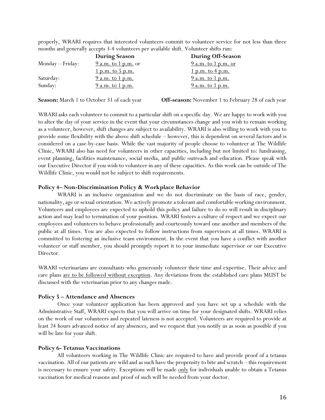| months and generally accepts 5-1 volunteers per available sillit. Volunteer sillits full. |                       |                          |  |  |  |
|-------------------------------------------------------------------------------------------|-----------------------|--------------------------|--|--|--|
|                                                                                           | <b>During Season</b>  | <b>During Off-Season</b> |  |  |  |
| Monday - Friday:                                                                          | $9 a.m.$ to 1 p.m. or | $9 a.m.$ to 1 p.m. or    |  |  |  |
|                                                                                           | $1 p.m.$ to $5 p.m.$  | 1 p.m. to 4 p.m.         |  |  |  |
| Saturday:                                                                                 | $9$ a.m. to 1 p.m.    | $9 a.m.$ to 1 p.m.       |  |  |  |
| Sunday:                                                                                   | $9 a.m.$ to 1 p.m.    | $9 a.m.$ to 1 p.m.       |  |  |  |

properly, WRARI requires that interested volunteers commit to volunteer service for not less than three months and generally accepts 3-4 volunteers per available shift. Volunteer shifts run:

WRARI asks each volunteer to commit to a particular shift on a specific day. We are happy to work with you to alter the day of your service in the event that your circumstances change and you wish to remain working as a volunteer, however, shift changes are subject to availability. WRARI is also willing to work with you to provide some flexibility with the above shift schedule – however, this is dependent on several factors and is considered on a case-by-case basis. While the vast majority of people choose to volunteer at The Wildlife Clinic, WRARI also has need for volunteers in other capacities, including but not limited to: fundraising, event planning, facilities maintenance, social media, and public outreach and education. Please speak with our Executive Director if you wish to volunteer in any of these capacities. As this work can be outside of The Wildlife Clinic, you would not be subject to shift requirements.

**Season:** March 1 to October 31 of each year **Off-season:** November 1 to February 28 of each year

#### **Policy 4– Non-Discrimination Policy & Workplace Behavior**

WRARI is an inclusive organization and we do not discriminate on the basis of race, gender, nationality, age or sexual orientation. We actively promote a tolerant and comfortable working environment. Volunteers and employees are expected to uphold this policy and failure to do so will result in disciplinary action and may lead to termination of your position. WRARI fosters a culture of respect and we expect our employees and volunteers to behave professionally and courteously toward one another and members of the public at all times. You are also expected to follow instructions from supervisors at all times. WRARI is committed to fostering an inclusive team environment. In the event that you have a conflict with another volunteer or staff member, you should promptly report it to your immediate supervisor or our Executive Director.

WRARI veterinarians are consultants who generously volunteer their time and expertise. Their advice and care plans are to be followed without exception. Any deviations from the established care plans MUST be discussed with the veterinarian prior to any changes made.

#### **Policy 5 – Attendance and Absences**

Once your volunteer application has been approved and you have set up a schedule with the Administrative Staff, WRARI expects that you will arrive on time for your designated shifts. WRARI relies on the work of our volunteers and repeated lateness is not accepted. Volunteers are required to provide at least 24 hours advanced notice of any absences, and we request that you notify us as soon as possible if you will be late for your shift.

#### **Policy 6- Tetanus Vaccinations**

All volunteers working in The Wildlife Clinic are required to have and provide proof of a tetanus vaccination. All of our patients are wild and as such have the propensity to bite and scratch – this requirement is necessary to ensure your safety. Exceptions will be made only for individuals unable to obtain a Tetanus vaccination for medical reasons and proof of such will be needed from your doctor.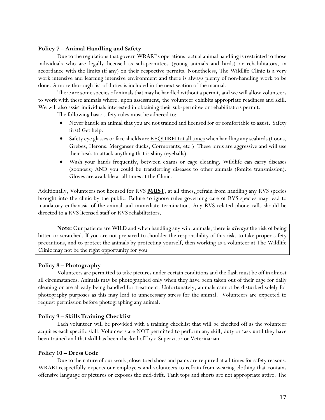### **Policy 7 – Animal Handling and Safety**

Due to the regulations that govern WRARI's operations, actual animal handling is restricted to those individuals who are legally licensed as sub-permitees (young animals and birds) or rehabilitators, in accordance with the limits (if any) on their respective permits. Nonetheless, The Wildlife Clinic is a very work intensive and learning intensive environment and there is always plenty of non-handling work to be done. A more thorough list of duties is included in the next section of the manual.

There are some species of animals that may be handled without a permit, and we will allow volunteers to work with these animals where, upon assessment, the volunteer exhibits appropriate readiness and skill. We will also assist individuals interested in obtaining their sub-permitee or rehabilitators permit.

The following basic safety rules must be adhered to:

- Never handle an animal that you are not trained and licensed for or comfortable to assist. Safety first! Get help.
- Safety eye glasses or face shields are REQUIRED at all times when handling any seabirds (Loons, Grebes, Herons, Merganser ducks, Cormorants, etc.) These birds are aggressive and will use their beak to attack anything that is shiny (eyeballs).
- Wash your hands frequently, between exams or cage cleaning. Wildlife can carry diseases (zoonosis) AND you could be transferring diseases to other animals (fomite transmission). Gloves are available at all times at the Clinic.

Additionally, Volunteers not licensed for RVS **MUST**, at all times, refrain from handling any RVS species brought into the clinic by the public. Failure to ignore rules governing care of RVS species may lead to mandatory euthanasia of the animal and immediate termination. Any RVS related phone calls should be directed to a RVS licensed staff or RVS rehabilitators.

 **Note:** Our patients are WILD and when handling any wild animals, there is *always* the risk of being bitten or scratched. If you are not prepared to shoulder the responsibility of this risk, to take proper safety precautions, and to protect the animals by protecting yourself, then working as a volunteer at The Wildlife Clinic may not be the right opportunity for you.

### **Policy 8 – Photography**

Volunteers are permitted to take pictures under certain conditions and the flash must be off in almost all circumstances. Animals may be photographed only when they have been taken out of their cage for daily cleaning or are already being handled for treatment. Unfortunately, animals cannot be disturbed solely for photography purposes as this may lead to unnecessary stress for the animal. Volunteers are expected to request permission before photographing any animal.

### **Policy 9 – Skills Training Checklist**

Each volunteer will be provided with a training checklist that will be checked off as the volunteer acquires each specific skill. Volunteers are NOT permitted to perform any skill, duty or task until they have been trained and that skill has been checked off by a Supervisor or Veterinarian.

#### **Policy 10 – Dress Code**

Due to the nature of our work, close-toed shoes and pants are required at all times for safety reasons. WRARI respectfully expects our employees and volunteers to refrain from wearing clothing that contains offensive language or pictures or exposes the mid-drift. Tank tops and shorts are not appropriate attire. The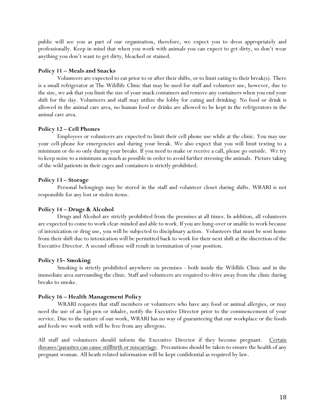public will see you as part of our organization, therefore, we expect you to dress appropriately and professionally. Keep in mind that when you work with animals you can expect to get dirty, so don't wear anything you don't want to get dirty, bleached or stained.

## **Policy 11 – Meals and Snacks**

Volunteers are expected to eat prior to or after their shifts, or to limit eating to their break(s). There is a small refrigerator at The Wildlife Clinic that may be used for staff and volunteer use, however, due to the size, we ask that you limit the size of your snack containers and remove any containers when you end your shift for the day. Volunteers and staff may utilize the lobby for eating and drinking. No food or drink is allowed in the animal care area, no human food or drinks are allowed to be kept in the refrigerators in the animal care area.

## **Policy 12 – Cell Phones**

Employees or volunteers are expected to limit their cell phone use while at the clinic. You may use your cell-phone for emergencies and during your break. We also expect that you will limit texting to a minimum or do so only during your breaks. If you need to make or receive a call, please go outside. We try to keep noise to a minimum as much as possible in order to avoid further stressing the animals. Picture taking of the wild patients in their cages and containers is strictly prohibited.

## **Policy 13 – Storage**

Personal belongings may be stored in the staff and volunteer closet during shifts. WRARI is not responsible for any lost or stolen items.

## **Policy 14 – Drugs & Alcohol**

Drugs and Alcohol are strictly prohibited from the premises at all times. In addition, all volunteers are expected to come to work clear-minded and able to work. If you are hung-over or unable to work because of intoxication or drug use, you will be subjected to disciplinary action. Volunteers that must be sent home from their shift due to intoxication will be permitted back to work for their next shift at the discretion of the Executive Director. A second offense will result in termination of your position.

### **Policy 15– Smoking**

Smoking is strictly prohibited anywhere on premises - both inside the Wildlife Clinic and in the immediate area surrounding the clinic. Staff and volunteers are required to drive away from the clinic during breaks to smoke.

### **Policy 16 – Health Management Policy**

WRARI requests that staff members or volunteers who have any food or animal allergies, or may need the use of an Epi-pen or inhaler, notify the Executive Director prior to the commencement of your service. Due to the nature of our work, WRARI has no way of guaranteeing that our workplace or the foods and feeds we work with will be free from any allergens.

All staff and volunteers should inform the Executive Director if they become pregnant. Certain diseases/parasites can cause stillbirth or miscarriage. Precautions should be taken to ensure the health of any pregnant woman. All heath related information will be kept confidential as required by law.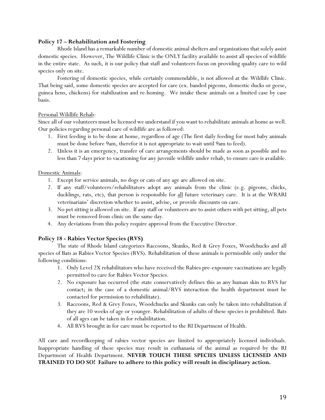## **Policy 17 – Rehabilitation and Fostering**

Rhode Island has a remarkable number of domestic animal shelters and organizations that solely assist domestic species. However, The Wildlife Clinic is the ONLY facility available to assist all species of wildlife in the entire state. As such, it is our policy that staff and volunteers focus on providing quality care to wild species only on site.

Fostering of domestic species, while certainly commendable, is not allowed at the Wildlife Clinic. That being said, some domestic species are accepted for care (ex. banded pigeons, domestic ducks or geese, guinea hens, chickens) for stabilization and re-homing. We intake these animals on a limited case by case basis.

## Personal Wildlife Rehab:

Since all of our volunteers must be licensed we understand if you want to rehabilitate animals at home as well. Our policies regarding personal care of wildlife are as followed:

- 1. First feeding is to be done at home, regardless of age (The first daily feeding for most baby animals must be done before 9am, therefor it is not appropriate to wait until 9am to feed).
- 2. Unless it is an emergency, transfer of care arrangements should be made as soon as possible and no less than 7 days prior to vacationing for any juvenile wildlife under rehab, to ensure care is available.

## Domestic Animals:

- 1. Except for service animals, no dogs or cats of any age are allowed on site.
- 2. If any staff/volunteers/rehabilitators adopt any animals from the clinic (e.g. pigeons, chicks, ducklings, rats, etc), that person is responsible for all future veterinary care. It is at the WRARI veterinarians' discretion whether to assist, advise, or provide discounts on care.
- 3. No pet sitting is allowed on site. If any staff or volunteers are to assist others with pet sitting, all pets must be removed from clinic on the same day.
- 4. Any deviations from this policy require approval from the Executive Director.

## **Policy 18 - Rabies Vector Species (RVS)**

The state of Rhode Island categorizes Raccoons, Skunks, Red & Grey Foxes, Woodchucks and all species of Bats as Rabies Vector Species (RVS). Rehabilitation of these animals is permissible only under the following conditions:

- 1. Only Level 2X rehabilitators who have received the Rabies pre-exposure vaccinations are legally permitted to care for Rabies Vector Species.
- 2. No exposure has occurred (the state conservatively defines this as any human skin to RVS fur contact; in the case of a domestic animal/RVS interaction the health department must be contacted for permission to rehabilitate).
- 3. Raccoons, Red & Grey Foxes, Woodchucks and Skunks can only be taken into rehabilitation if they are 10 weeks of age or younger. Rehabilitation of adults of these species is prohibited. Bats of all ages can be taken in for rehabilitation.
- 4. All RVS brought in for care must be reported to the RI Department of Health.

All care and recordkeeping of rabies vector species are limited to appropriately licensed individuals. Inappropriate handling of these species may result in euthanasia of the animal as required by the RI Department of Health Department. **NEVER TOUCH THESE SPECIES UNLESS LICENSED AND TRAINED TO DO SO! Failure to adhere to this policy will result in disciplinary action.**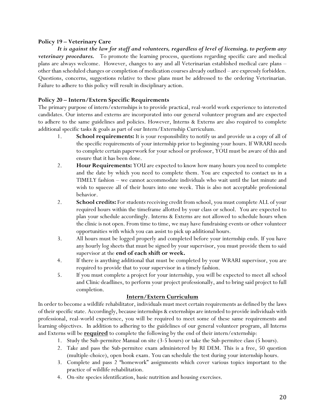## **Policy 19 – Veterinary Care**

*It is against the law for staff and volunteers, regardless of level of licensing, to perform any veterinary procedures.* To promote the learning process, questions regarding specific care and medical plans are always welcome. However, changes to any and all Veterinarian established medical care plans – other than scheduled changes or completion of medication courses already outlined – are expressly forbidden. Questions, concerns, suggestions relative to these plans must be addressed to the ordering Veterinarian. Failure to adhere to this policy will result in disciplinary action.

## **Policy 20 – Intern/Extern Specific Requirements**

The primary purpose of intern/externships is to provide practical, real-world work experience to interested candidates. Our interns and externs are incorporated into our general volunteer program and are expected to adhere to the same guidelines and policies. However, Interns & Externs are also required to complete additional specific tasks & goals as part of our Intern/Externship Curriculum.

- 1. **School requirements:** It is your responsibility to notify us and provide us a copy of all of the specific requirements of your internship prior to beginning your hours. If WRARI needs to complete certain paperwork for your school or professor, YOU must be aware of this and ensure that it has been done.
- 2. **Hour Requirements:** YOU are expected to know how many hours you need to complete and the date by which you need to complete them. You are expected to contact us in a TIMELY fashion – we cannot accommodate individuals who wait until the last minute and wish to squeeze all of their hours into one week. This is also not acceptable professional behavior.
- 2. **School credits:** For students receiving credit from school, you must complete ALL of your required hours within the timeframe allotted by your class or school. You are expected to plan your schedule accordingly. Interns & Externs are not allowed to schedule hours when the clinic is not open. From time to time, we may have fundraising events or other volunteer opportunities with which you can assist to pick up additional hours.
- 3. All hours must be logged properly and completed before your internship ends. If you have any hourly log sheets that must be signed by your supervisor, you must provide them to said supervisor at the **end of each shift or week.**
- 4. If there is anything additional that must be completed by your WRARI supervisor, you are required to provide that to your supervisor in a timely fashion.
- 5. If you must complete a project for your internship, you will be expected to meet all school and Clinic deadlines, to perform your project professionally, and to bring said project to full completion.

## **Intern/Extern Curriculum**

In order to become a wildlife rehabilitator, individuals must meet certain requirements as defined by the laws of their specific state. Accordingly, because internships & externships are intended to provide individuals with professional, real-world experience, you will be required to meet some of these same requirements and learning objectives. In addition to adhering to the guidelines of our general volunteer program, all Interns and Externs will be **required** to complete the following by the end of their intern/externship:

- 1. Study the Sub-permitee Manual on site (3-5 hours) or take the Sub-permitee class (5 hours).
- 2. Take and pass the Sub-permitee exam administered by RI DEM. This is a free, 50 question (multiple-choice), open book exam. You can schedule the test during your internship hours.
- 3. Complete and pass 2 "homework" assignments which cover various topics important to the practice of wildlife rehabilitation.
- 4. On-site species identification, basic nutrition and housing exercises.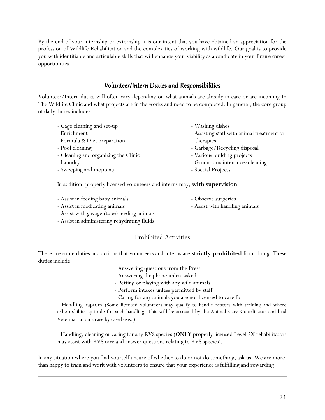By the end of your internship or externship it is our intent that you have obtained an appreciation for the profession of Wildlife Rehabilitation and the complexities of working with wildlife. Our goal is to provide you with identifiable and articulable skills that will enhance your viability as a candidate in your future career opportunities.

# Volunteer/Intern Duties and Responsibilities

Volunteer/Intern duties will often vary depending on what animals are already in care or are incoming to The Wildlife Clinic and what projects are in the works and need to be completed. In general, the core group of daily duties include:

- Cage cleaning and set-up  **Washing dishes**
- 
- Formula & Diet preparation therapies
- 
- Cleaning and organizing the Clinic  **Various building projects**
- 
- Sweeping and mopping  **Special Projects**
- 
- Enrichment  $\blacksquare$
- Pool cleaning  $-$  Garbage/Recycling disposal
	-
- Laundry **Example 2** Crounds maintenance/cleaning
	-

In addition, properly licensed volunteers and interns may, **with supervision**:

- Assist in feeding baby animals Observe surgeries
- Assist in medicating animals **Assist with handling animals** Assist with handling animals
- Assist with gavage (tube) feeding animals
- Assist in administering rehydrating fluids

# Prohibited Activities

There are some duties and actions that volunteers and interns are **strictly prohibited** from doing. These duties include:

- Answering questions from the Press
- Answering the phone unless asked
- Petting or playing with any wild animals
- Perform intakes unless permitted by staff
- Caring for any animals you are not licensed to care for

- Handling raptors (Some licensed volunteers may qualify to handle raptors with training and where s/he exhibits aptitude for such handling. This will be assessed by the Animal Care Coordinator and lead Veterinarian on a case by case basis.)

- Handling, cleaning or caring for any RVS species (**ONLY** properly licensed Level 2X rehabilitators may assist with RVS care and answer questions relating to RVS species).

In any situation where you find yourself unsure of whether to do or not do something, ask us. We are more than happy to train and work with volunteers to ensure that your experience is fulfilling and rewarding.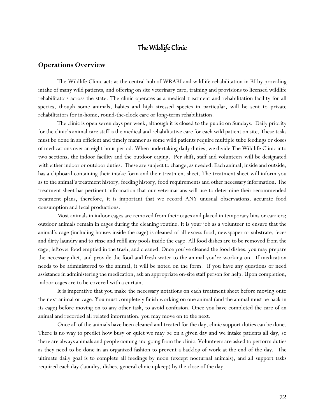# The Wildlife Clinic

## **Operations Overview**

The Wildlife Clinic acts as the central hub of WRARI and wildlife rehabilitation in RI by providing intake of many wild patients, and offering on site veterinary care, training and provisions to licensed wildlife rehabilitators across the state. The clinic operates as a medical treatment and rehabilitation facility for all species, though some animals, babies and high stressed species in particular, will be sent to private rehabilitators for in-home, round-the-clock care or long-term rehabilitation.

The clinic is open seven days per week, although it is closed to the public on Sundays. Daily priority for the clinic's animal care staff is the medical and rehabilitative care for each wild patient on site. These tasks must be done in an efficient and timely manner as some wild patients require multiple tube feedings or doses of medications over an eight-hour period. When undertaking daily duties, we divide The Wildlife Clinic into two sections, the indoor facility and the outdoor caging. Per shift, staff and volunteers will be designated with either indoor or outdoor duties. These are subject to change, as needed. Each animal, inside and outside, has a clipboard containing their intake form and their treatment sheet. The treatment sheet will inform you as to the animal's treatment history, feeding history, food requirements and other necessary information. The treatment sheet has pertinent information that our veterinarians will use to determine their recommended treatment plans, therefore, it is important that we record ANY unusual observations, accurate food consumption and fecal productions.

Most animals in indoor cages are removed from their cages and placed in temporary bins or carriers; outdoor animals remain in cages during the cleaning routine. It is your job as a volunteer to ensure that the animal's cage (including houses inside the cage) is cleaned of all excess food, newspaper or substrate, feces and dirty laundry and to rinse and refill any pools inside the cage. All food dishes are to be removed from the cage, leftover food emptied in the trash, and cleaned. Once you've cleaned the food dishes, you may prepare the necessary diet, and provide the food and fresh water to the animal you're working on. If medication needs to be administered to the animal, it will be noted on the form. If you have any questions or need assistance in administering the medication, ask an appropriate on-site staff person for help. Upon completion, indoor cages are to be covered with a curtain.

It is imperative that you make the necessary notations on each treatment sheet before moving onto the next animal or cage. You must completely finish working on one animal (and the animal must be back in its cage) before moving on to any other task, to avoid confusion. Once you have completed the care of an animal and recorded all related information, you may move on to the next.

Once all of the animals have been cleaned and treated for the day, clinic support duties can be done. There is no way to predict how busy or quiet we may be on a given day and we intake patients all day, so there are always animals and people coming and going from the clinic. Volunteers are asked to perform duties as they need to be done in an organized fashion to prevent a backlog of work at the end of the day. The ultimate daily goal is to complete all feedings by noon (except nocturnal animals), and all support tasks required each day (laundry, dishes, general clinic upkeep) by the close of the day.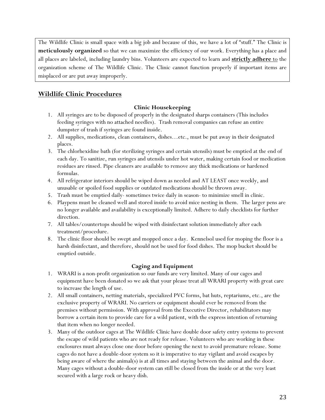The Wildlife Clinic is small space with a big job and because of this, we have a lot of "stuff." The Clinic is **meticulously organized** so that we can maximize the efficiency of our work. Everything has a place and all places are labeled, including laundry bins. Volunteers are expected to learn and **strictly adhere** to the organization scheme of The Wildlife Clinic. The Clinic cannot function properly if important items are misplaced or are put away improperly.

# **Wildlife Clinic Procedures**

# **Clinic Housekeeping**

- 1. All syringes are to be disposed of properly in the designated sharps containers (This includes feeding syringes with no attached needles). Trash removal companies can refuse an entire dumpster of trash if syringes are found inside.
- 2. All supplies, medications, clean containers, dishes…etc., must be put away in their designated places.
- 3. The chlorhexidine bath (for sterilizing syringes and certain utensils) must be emptied at the end of each day. To sanitize, run syringes and utensils under hot water, making certain food or medication residues are rinsed. Pipe cleaners are available to remove any thick medications or hardened formulas.
- 4. All refrigerator interiors should be wiped down as needed and AT LEAST once weekly, and unusable or spoiled food supplies or outdated medications should be thrown away.
- 5. Trash must be emptied daily- sometimes twice daily in season- to minimize smell in clinic.
- 6. Playpens must be cleaned well and stored inside to avoid mice nesting in them. The larger pens are no longer available and availability is exceptionally limited. Adhere to daily checklists for further direction.
- 7. All tables/countertops should be wiped with disinfectant solution immediately after each treatment/procedure.
- 8. The clinic floor should be swept and mopped once a day. Kennelsol used for moping the floor is a harsh disinfectant, and therefore, should not be used for food dishes. The mop bucket should be emptied outside.

# **Caging and Equipment**

- 1. WRARI is a non-profit organization so our funds are very limited. Many of our cages and equipment have been donated so we ask that your please treat all WRARI property with great care to increase the length of use.
- 2. All small containers, netting materials, specialized PVC forms, bat huts, reptariums, etc., are the exclusive property of WRARI. No carriers or equipment should ever be removed from the premises without permission. With approval from the Executive Director, rehabilitators may borrow a certain item to provide care for a wild patient, with the express intention of returning that item when no longer needed.
- 3. Many of the outdoor cages at The Wildlife Clinic have double door safety entry systems to prevent the escape of wild patients who are not ready for release. Volunteers who are working in these enclosures must always close one door before opening the next to avoid premature release. Some cages do not have a double-door system so it is imperative to stay vigilant and avoid escapes by being aware of where the animal(s) is at all times and staying between the animal and the door. Many cages without a double-door system can still be closed from the inside or at the very least secured with a large rock or heavy dish.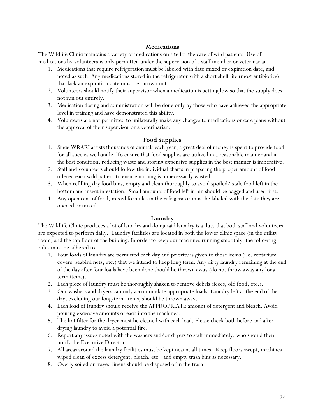## **Medications**

The Wildlife Clinic maintains a variety of medications on site for the care of wild patients. Use of medications by volunteers is only permitted under the supervision of a staff member or veterinarian.

- 1. Medications that require refrigeration must be labeled with date mixed or expiration date, and noted as such. Any medications stored in the refrigerator with a short shelf life (most antibiotics) that lack an expiration date must be thrown out.
- 2. Volunteers should notify their supervisor when a medication is getting low so that the supply does not run out entirely.
- 3. Medication dosing and administration will be done only by those who have achieved the appropriate level in training and have demonstrated this ability.
- 4. Volunteers are not permitted to unilaterally make any changes to medications or care plans without the approval of their supervisor or a veterinarian.

## **Food Supplies**

- 1. Since WRARI assists thousands of animals each year, a great deal of money is spent to provide food for all species we handle. To ensure that food supplies are utilized in a reasonable manner and in the best condition, reducing waste and storing expensive supplies in the best manner is imperative.
- 2. Staff and volunteers should follow the individual charts in preparing the proper amount of food offered each wild patient to ensure nothing is unnecessarily wasted.
- 3. When refilling dry food bins, empty and clean thoroughly to avoid spoiled/ stale food left in the bottom and insect infestation. Small amounts of food left in bin should be bagged and used first.
- 4. Any open cans of food, mixed formulas in the refrigerator must be labeled with the date they are opened or mixed.

# **Laundry**

The Wildlife Clinic produces a lot of laundry and doing said laundry is a duty that both staff and volunteers are expected to perform daily. Laundry facilities are located in both the lower clinic space (in the utility room) and the top floor of the building. In order to keep our machines running smoothly, the following rules must be adhered to:

- 1. Four loads of laundry are permitted each day and priority is given to those items (i.e. reptarium covers, seabird nets, etc.) that we intend to keep long term. Any dirty laundry remaining at the end of the day after four loads have been done should be thrown away (do not throw away any longterm items).
- 2. Each piece of laundry must be thoroughly shaken to remove debris (feces, old food, etc.).
- 3. Our washers and dryers can only accommodate appropriate loads. Laundry left at the end of the day, excluding our long-term items, should be thrown away.
- 4. Each load of laundry should receive the APPROPRIATE amount of detergent and bleach. Avoid pouring excessive amounts of each into the machines.
- 5. The lint filter for the dryer must be cleaned with each load. Please check both before and after drying laundry to avoid a potential fire.
- 6. Report any issues noted with the washers and/or dryers to staff immediately, who should then notify the Executive Director.
- 7. All areas around the laundry facilities must be kept neat at all times. Keep floors swept, machines wiped clean of excess detergent, bleach, etc., and empty trash bins as necessary.
- 8. Overly soiled or frayed linens should be disposed of in the trash.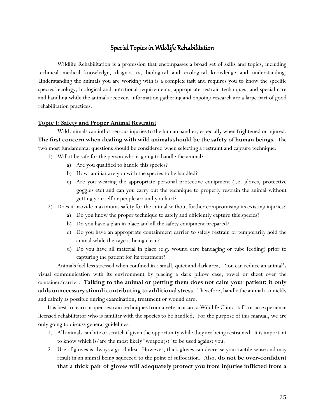# Special Topics in Wildlife Rehabilitation

Wildlife Rehabilitation is a profession that encompasses a broad set of skills and topics, including technical medical knowledge, diagnostics, biological and ecological knowledge and understanding. Understanding the animals you are working with is a complex task and requires you to know the specific species' ecology, biological and nutritional requirements, appropriate restrain techniques, and special care and handling while the animals recover. Information gathering and ongoing research are a large part of good rehabilitation practices.

### **Topic 1: Safety and Proper Animal Restraint**

Wild animals can inflict serious injuries to the human handler, especially when frightened or injured. **The first concern when dealing with wild animals should be the safety of human beings.** The two most fundamental questions should be considered when selecting a restraint and capture technique:

- 1) Will it be safe for the person who is going to handle the animal?
	- a) Are you qualified to handle this species?
	- b) How familiar are you with the species to be handled?
	- c) Are you wearing the appropriate personal protective equipment (i.e. gloves, protective goggles etc) and can you carry out the technique to properly restrain the animal without getting yourself or people around you hurt?
- 2) Does it provide maximums safety for the animal without further compromising its existing injuries?
	- a) Do you know the proper technique to safely and efficiently capture this species?
	- b) Do you have a plan in place and all the safety equipment prepared?
	- c) Do you have an appropriate containment carrier to safely restrain or temporarily hold the animal while the cage is being clean?
	- d) Do you have all material in place (e.g. wound care bandaging or tube feeding) prior to capturing the patient for its treatment?

Animals feel less stressed when confined in a small, quiet and dark area. You can reduce an animal's visual communication with its environment by placing a dark pillow case, towel or sheet over the container/carrier. **Talking to the animal or petting them does not calm your patient; it only adds unnecessary stimuli contributing to additional stress**. Therefore, handle the animal as quickly and calmly as possible during examination, treatment or wound care.

It is best to learn proper restrain techniques from a veterinarian, a Wildlife Clinic staff, or an experience licensed rehabilitator who is familiar with the species to be handled. For the purpose of this manual, we are only going to discuss general guidelines.

- 1. All animals can bite or scratch if given the opportunity while they are being restrained. It is important to know which is/are the most likely "weapon(s)" to be used against you.
- 2. Use of gloves is always a good idea. However, thick gloves can decrease your tactile sense and may result in an animal being squeezed to the point of suffocation. Also, **do not be over-confident that a thick pair of gloves will adequately protect you from injuries inflicted from a**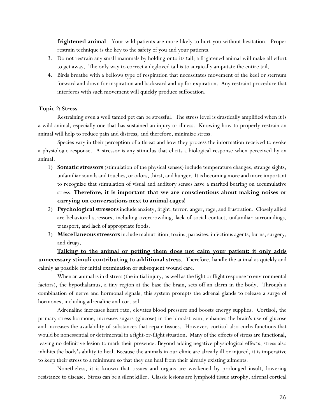**frightened animal**. Your wild patients are more likely to hurt you without hesitation. Proper restrain technique is the key to the safety of you and your patients.

- 3. Do not restrain any small mammals by holding onto its tail; a frightened animal will make all effort to get away. The only way to correct a degloved tail is to surgically amputate the entire tail.
- 4. Birds breathe with a bellows type of respiration that necessitates movement of the keel or sternum forward and down for inspiration and backward and up for expiration. Any restraint procedure that interferes with such movement will quickly produce suffocation.

## **Topic 2: Stress**

Restraining even a well tamed pet can be stressful. The stress level is drastically amplified when it is a wild animal, especially one that has sustained an injury or illness. Knowing how to properly restrain an animal will help to reduce pain and distress, and therefore, minimize stress.

Species vary in their perception of a threat and how they process the information received to evoke a physiologic response. A stressor is any stimulus that elicits a biological response when perceived by an animal.

- 1) **Somatic stressors** (stimulation of the physical senses) include temperature changes, strange sights, unfamiliar sounds and touches, or odors, thirst, and hunger. It is becoming more and more important to recognize that stimulation of visual and auditory senses have a marked bearing on accumulative stress. **Therefore, it is important that we are conscientious about making noises or carrying on conversations next to animal cages!**
- 2) **Psychological stressors**include anxiety, fright, terror, anger, rage, and frustration. Closely allied are behavioral stressors, including overcrowding, lack of social contact, unfamiliar surroundings, transport, and lack of appropriate foods.
- 3) **Miscellaneous stressors** include malnutrition, toxins, parasites, infectious agents, burns, surgery, and drugs.

**Talking to the animal or petting them does not calm your patient; it only adds unnecessary stimuli contributing to additional stress**. Therefore, handle the animal as quickly and calmly as possible for initial examination or subsequent wound care.

When an animal is in distress (the initial injury, as well as the fight or flight response to environmental factors), the hypothalamus, a tiny region at the base the brain, sets off an alarm in the body. Through a combination of nerve and hormonal signals, this system prompts the adrenal glands to release a surge of hormones, including adrenaline and cortisol.

Adrenaline increases heart rate, elevates blood pressure and boosts energy supplies. Cortisol, the primary stress hormone, increases sugars (glucose) in the bloodstream, enhances the brain's use of glucose and increases the availability of substances that repair tissues. However, cortisol also curbs functions that would be nonessential or detrimental in a fight-or-flight situation. Many of the effects of stress are functional, leaving no definitive lesion to mark their presence. Beyond adding negative physiological effects, stress also inhibits the body's ability to heal. Because the animals in our clinic are already ill or injured, it is imperative to keep their stress to a minimum so that they can heal from their already existing ailments.

Nonetheless, it is known that tissues and organs are weakened by prolonged insult, lowering resistance to disease. Stress can be a silent killer. Classic lesions are lymphoid tissue atrophy, adrenal cortical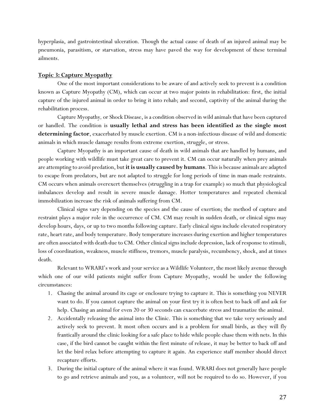hyperplasia, and gastrointestinal ulceration. Though the actual cause of death of an injured animal may be pneumonia, parasitism, or starvation, stress may have paved the way for development of these terminal ailments.

#### **Topic 3: Capture Myopathy**

One of the most important considerations to be aware of and actively seek to prevent is a condition known as Capture Myopathy (CM), which can occur at two major points in rehabilitation: first, the initial capture of the injured animal in order to bring it into rehab; and second, captivity of the animal during the rehabilitation process.

Capture Myopathy*,* or Shock Disease, is a condition observed in wild animals that have been captured or handled. The condition is **usually lethal and stress has been identified as the single most determining factor**, exacerbated by muscle exertion. CM is a non-infectious disease of wild and domestic animals in which muscle damage results from extreme exertion, struggle, or stress.

Capture Myopathy is an important cause of death in wild animals that are handled by humans, and people working with wildlife must take great care to prevent it. CM can occur naturally when prey animals are attempting to avoid predation, but **it is usually caused by humans**. This is because animals are adapted to escape from predators, but are not adapted to struggle for long periods of time in man-made restraints. CM occurs when animals overexert themselves (struggling in a trap for example) so much that physiological imbalances develop and result in severe muscle damage. Hotter temperatures and repeated chemical immobilization increase the risk of animals suffering from CM.

Clinical signs vary depending on the species and the cause of exertion; the method of capture and restraint plays a major role in the occurrence of CM. CM may result in sudden death, or clinical signs may develop hours, days, or up to two months following capture. Early clinical signs include elevated respiratory rate, heart rate, and body temperature. Body temperature increases during exertion and higher temperatures are often associated with death due to CM. Other clinical signs include depression, lack of response to stimuli, loss of coordination, weakness, muscle stiffness, tremors, muscle paralysis, recumbency, shock, and at times death.

Relevant to WRARI's work and your service as a Wildlife Volunteer, the most likely avenue through which one of our wild patients might suffer from Capture Myopathy, would be under the following circumstances:

- 1. Chasing the animal around its cage or enclosure trying to capture it. This is something you NEVER want to do. If you cannot capture the animal on your first try it is often best to back off and ask for help. Chasing an animal for even 20 or 30 seconds can exacerbate stress and traumatize the animal.
- 2. Accidentally releasing the animal into the Clinic. This is something that we take very seriously and actively seek to prevent. It most often occurs and is a problem for small birds, as they will fly frantically around the clinic looking for a safe place to hide while people chase them with nets. In this case, if the bird cannot be caught within the first minute of release, it may be better to back off and let the bird relax before attempting to capture it again. An experience staff member should direct recapture efforts.
- 3. During the initial capture of the animal where it was found. WRARI does not generally have people to go and retrieve animals and you, as a volunteer, will not be required to do so. However, if you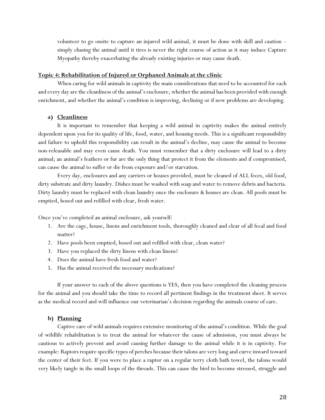volunteer to go onsite to capture an injured wild animal, it must be done with skill and caution – simply chasing the animal until it tires is never the right course of action as it may induce Capture Myopathy thereby exacerbating the already existing injuries or may cause death.

#### **Topic 4: Rehabilitation of Injured or Orphaned Animals at the clinic**

When caring for wild animals in captivity the main considerations that need to be accounted for each and every day are the cleanliness of the animal's enclosure, whether the animal has been provided with enough enrichment, and whether the animal's condition is improving, declining or if new problems are developing.

#### **a) Cleanliness**

It is important to remember that keeping a wild animal in captivity makes the animal entirely dependent upon you for its quality of life, food, water, and housing needs. This is a significant responsibility and failure to uphold this responsibility can result in the animal's decline, may cause the animal to become non-releasable and may even cause death. You must remember that a dirty enclosure will lead to a dirty animal; an animal's feathers or fur are the only thing that protect it from the elements and if compromised, can cause the animal to suffer or die from exposure and/or starvation.

Every day, enclosures and any carriers or houses provided, must be cleaned of ALL feces, old food, dirty substrate and dirty laundry. Dishes must be washed with soap and water to remove debris and bacteria. Dirty laundry must be replaced with clean laundry once the enclosure & houses are clean. All pools must be emptied, hosed out and refilled with clear, fresh water.

Once you've completed an animal enclosure, ask yourself:

- 1. Are the cage, house, linens and enrichment tools, thoroughly cleaned and clear of all fecal and food matter?
- 2. Have pools been emptied, hosed out and refilled with clear, clean water?
- 3. Have you replaced the dirty linens with clean linens?
- 4. Does the animal have fresh food and water?
- 5. Has the animal received the necessary medications?

If your answer to each of the above questions is YES, then you have completed the cleaning process for the animal and you should take the time to record all pertinent findings in the treatment sheet. It serves as the medical record and will influence our veterinarian's decision regarding the animals course of care.

#### **b) Planning**

Captive care of wild animals requires extensive monitoring of the animal's condition. While the goal of wildlife rehabilitation is to treat the animal for whatever the cause of admission, you must always be cautious to actively prevent and avoid causing further damage to the animal while it is in captivity. For example: Raptors require specific types of perches because their talons are very long and curve inward toward the center of their feet. If you were to place a raptor on a regular terry cloth bath towel, the talons would very likely tangle in the small loops of the threads. This can cause the bird to become stressed, struggle and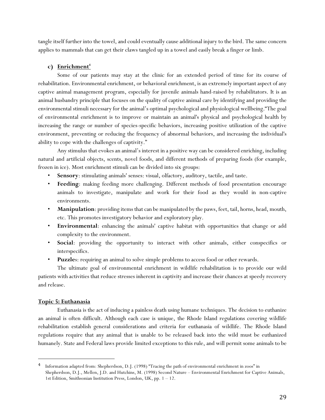tangle itself further into the towel, and could eventually cause additional injury to the bird. The same concern applies to mammals that can get their claws tangled up in a towel and easily break a finger or limb.

## c) **Enrichment**<sup>4</sup>

Some of our patients may stay at the clinic for an extended period of time for its course of rehabilitation. Environmental enrichment, or behavioral enrichment, is an extremely important aspect of any captive animal management program, especially for juvenile animals hand-raised by rehabilitators. It is an animal husbandry principle that focuses on the quality of captive animal care by identifying and providing the environmental stimuli necessary for the animal's optimal psychological and physiological wellbeing."The goal of environmental enrichment is to improve or maintain an animal's physical and psychological health by increasing the range or number of species-specific behaviors, increasing positive utilization of the captive environment, preventing or reducing the frequency of abnormal behaviors, and increasing the individual's ability to cope with the challenges of captivity."

Any stimulus that evokes an animal's interest in a positive way can be considered enriching, including natural and artificial objects, scents, novel foods, and different methods of preparing foods (for example, frozen in ice). Most enrichment stimuli can be divided into six groups:

- **Sensory**: stimulating animals' senses: visual, olfactory, auditory, tactile, and taste.
- **Feeding**: making feeding more challenging. Different methods of food presentation encourage animals to investigate, manipulate and work for their food as they would in non-captive environments.
- **Manipulation**: providing items that can be manipulated by the paws, feet, tail, horns, head, mouth, etc. This promotes investigatory behavior and exploratory play.
- **Environmental**: enhancing the animals' captive habitat with opportunities that change or add complexity to the environment.
- **Social**: providing the opportunity to interact with other animals, either conspecifics or interspecifics.
- **Puzzle**s: requiring an animal to solve simple problems to access food or other rewards.

The ultimate goal of environmental enrichment in wildlife rehabilitation is to provide our wild patients with activities that reduce stresses inherent in captivity and increase their chances at speedy recovery and release.

## **Topic 5: Euthanasia**

 

Euthanasia is the act of inducing a painless death using humane techniques. The decision to euthanize an animal is often difficult. Although each case is unique, the Rhode Island regulations covering wildlife rehabilitation establish general considerations and criteria for euthanasia of wildlife. The Rhode Island regulations require that any animal that is unable to be released back into the wild must be euthanized humanely. State and Federal laws provide limited exceptions to this rule, and will permit some animals to be

<sup>4</sup> Information adapted from: Shepherdson, D.J. (1998) "Tracing the path of environmental enrichment in zoos" in Shepherdson, D.J., Mellen, J.D. and Hutchins, M. (1998) Second Nature – Environmental Enrichment for Captive Animals, 1st Edition, Smithsonian Institution Press, London, UK, pp. 1 – 12.